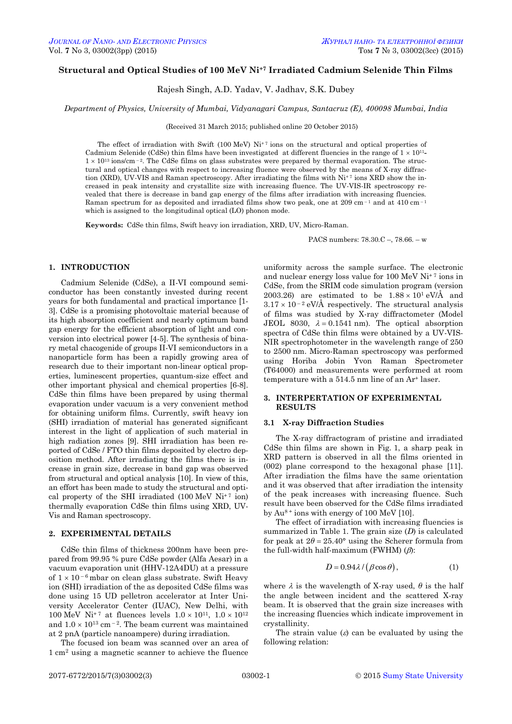# **Structural and Optical Studies of 100 MeV Ni+7 Irradiated Cadmium Selenide Thin Films**

Rajesh Singh, A.D. Yadav, V. Jadhav, S.K. Dubey

*Department of Physics, University of Mumbai, Vidyanagari Campus, Santacruz (E), 400098 Mumbai, India*

(Received 31 March 2015; published online 20 October 2015)

The effect of irradiation with Swift (100 MeV)  $Ni^{+7}$  ions on the structural and optical properties of Cadmium Selenide (CdSe) thin films have been investigated at different fluencies in the range of  $1 \times 10^{11}$ - $1 \times 10^{13}$  ions/cm<sup>-2</sup>. The CdSe films on glass substrates were prepared by thermal evaporation. The structural and optical changes with respect to increasing fluence were observed by the means of X-ray diffraction (XRD), UV-VIS and Raman spectroscopy. After irradiating the films with  $Ni<sup>†7</sup>$  ions XRD show the increased in peak intensity and crystallite size with increasing fluence. The UV-VIS-IR spectroscopy revealed that there is decrease in band gap energy of the films after irradiation with increasing fluencies. Raman spectrum for as deposited and irradiated films show two peak, one at  $209 \text{ cm}^{-1}$  and at  $410 \text{ cm}^{-1}$ which is assigned to the longitudinal optical (LO) phonon mode.

**Keywords:** CdSe thin films, Swift heavy ion irradiation, XRD, UV, Micro-Raman.

PACS numbers: 78.30.C –, 78.66. – w

## **1. INTRODUCTION**

Cadmium Selenide (CdSe), a II-VI compound semiconductor has been constantly invested during recent years for both fundamental and practical importance [1- 3]. CdSe is a promising photovoltaic material because of its high absorption coefficient and nearly optimum band gap energy for the efficient absorption of light and conversion into electrical power [4-5]. The synthesis of binary metal chacogenide of groups II-VI semiconductors in a nanoparticle form has been a rapidly growing area of research due to their important non-linear optical properties, luminescent properties, quantum-size effect and other important physical and chemical properties [6-8]. CdSe thin films have been prepared by using thermal evaporation under vacuum is a very convenient method for obtaining uniform films. Currently, swift heavy ion (SHI) irradiation of material has generated significant interest in the light of application of such material in high radiation zones [9]. SHI irradiation has been reported of CdSe / FTO thin films deposited by electro deposition method. After irradiating the films there is increase in grain size, decrease in band gap was observed from structural and optical analysis [10]. In view of this, an effort has been made to study the structural and optical property of the SHI irradiated  $(100 \text{ MeV Ni}^+$ <sup>7</sup> ion) thermally evaporation CdSe thin films using XRD, UV-Vis and Raman spectroscopy.

## **2. EXPERIMENTAL DETAILS**

CdSe thin films of thickness 200nm have been prepared from 99.95 % pure CdSe powder (Alfa Aesar) in a vacuum evaporation unit (HHV-12A4DU) at a pressure of  $1 \times 10^{-6}$  mbar on clean glass substrate. Swift Heavy ion (SHI) irradiation of the as deposited CdSe films was done using 15 UD pelletron accelerator at Inter University Accelerator Center (IUAC), New Delhi, with  $100~\mathrm{MeV}$   $\mathrm{Ni^{+7}}$  at fluences levels  $1.0\times10^{11},~1.0\times10^{12}$ and  $1.0 \times 10^{13}$  cm<sup>-2</sup>. The beam current was maintained at 2 pnA (particle nanoampere) during irradiation.

<span id="page-0-3"></span><span id="page-0-2"></span><span id="page-0-1"></span><span id="page-0-0"></span>The focused ion beam was scanned over an area of 1 cm<sup>2</sup> using a magnetic scanner to achieve the fluence

uniformity across the sample surface. The electronic and nuclear energy loss value for  $100 \text{ MeV Ni+7}$  ions in CdSe, from the SRIM code simulation program (version 2003.26) are estimated to be  $1.88 \times 10^1$  eV/Å and  $3.17 \times 10^{-2}$  eV/Å respectively. The structural analysis of films was studied by X-ray diffractometer (Model JEOL 8030,  $\lambda = 0.1541$  nm). The optical absorption spectra of CdSe thin films were obtained by a UV-VIS-NIR spectrophotometer in the wavelength range of 250 to 2500 nm. Micro-Raman spectroscopy was performed using Horiba Jobin Yvon Raman Spectrometer (T64000) and measurements were performed at room temperature with a 514.5 nm line of an Ar<sup>+</sup> laser.

### **3. INTERPERTATION OF EXPERIMENTAL RESULTS**

#### **3.1 X**‐**ray Diffraction Studies**

The X-ray diffractogram of pristine and irradiated CdSe thin films are shown in Fig. 1, a sharp peak in XRD pattern is observed in all the films oriented in (002) plane correspond to the hexagonal phase [11]. After irradiation the films have the same orientation and it was observed that after irradiation the intensity of the peak increases with increasing fluence. Such result have been observed for the CdSe films irradiated by  $Au^{8+}$  ions with energy of 100 MeV [10].

The effect of irradiation with increasing fluencies is summarized in Table 1. The grain size (*D*) is calculated for peak at  $2\theta = 25.40^{\circ}$  using the Scherer formula from the full-width half-maximum (FWHM)  $(\beta)$ :

$$
D = 0.94 \lambda / (\beta \cos \theta), \tag{1}
$$

where  $\lambda$  is the wavelength of X-ray used,  $\theta$  is the half the angle between incident and the scattered X-ray beam. It is observed that the grain size increases with the increasing fluencies which indicate improvement in crystallinity.

The strain value  $(\varepsilon)$  can be evaluated by using the following relation: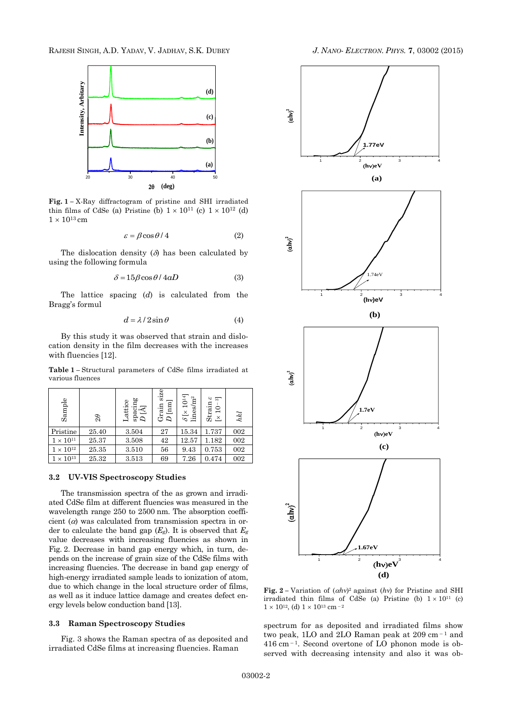RAJESH SINGH, A.D. YADAV, V. JADHAV, S.K. DUBEY *J. NANO- ELECTRON. PHYS.* **[7](#page-0-2)**, [03002](#page-0-2) [\(2015\)](#page-0-2)



**Fig. 1 –** X-Ray diffractogram of pristine and SHI irradiated thin films of CdSe (a) Pristine (b)  $1 \times 10^{11}$  (c)  $1 \times 10^{12}$  (d)  $1\times 10^{13} \, \mathrm{cm}$ 

$$
\varepsilon = \beta \cos \theta / 4 \tag{2}
$$

The dislocation density  $(\delta)$  has been calculated by using the following formula

$$
\delta = 15\beta \cos\theta / 4aD \tag{3}
$$

The lattice spacing (*d*) is calculated from the Bragg's formul

$$
d = \lambda / 2 \sin \theta \tag{4}
$$

By this study it was observed that strain and dislocation density in the film decreases with the increases with fluencies [12].

**Table 1 –** Structural parameters of CdSe films irradiated at various fluences

| Sample             | $\theta$ | $\mathop{\rm span}_D^{\rm main}$<br>Lattice | size<br>$\overline{\text{nm}}$<br>Grain | $\delta$ [× 1014]<br>lines/m <sup>2</sup> | $\frac{6}{3}$<br>$\begin{array}{l}{\rm Strain}\\ {\rm [}\times\,10^{-1} \end{array}$ | hkl |
|--------------------|----------|---------------------------------------------|-----------------------------------------|-------------------------------------------|--------------------------------------------------------------------------------------|-----|
| Pristine           | 25.40    | 3.504                                       | 27                                      | 15.34                                     | 1.737                                                                                | 002 |
| $1 \times 10^{11}$ | 25.37    | 3.508                                       | 42                                      | 12.57                                     | 1.182                                                                                | 002 |
| $1 \times 10^{12}$ | 25.35    | 3.510                                       | 56                                      | 9.43                                      | 0.753                                                                                | 002 |
| $1\times10^{13}$   | 25.32    | 3.513                                       | 69                                      | 7.26                                      | 0.474                                                                                | 002 |

#### **3.2 UV-VIS Spectroscopy Studies**

The transmission spectra of the as grown and irradiated CdSe film at different fluencies was measured in the wavelength range 250 to 2500 nm. The absorption coefficient  $(a)$  was calculated from transmission spectra in order to calculate the band gap  $(E_g)$ . It is observed that  $E_g$ value decreases with increasing fluencies as shown in Fig. 2. Decrease in band gap energy which, in turn, depends on the increase of grain size of the CdSe films with increasing fluencies. The decrease in band gap energy of high-energy irradiated sample leads to ionization of atom, due to which change in the local structure order of films, as well as it induce lattice damage and creates defect energy levels below conduction band [13].

# **3.3 Raman Spectroscopy Studies**

Fig. 3 shows the Raman spectra of as deposited and irradiated CdSe films at increasing fluencies. Raman



**Fig.** 2 – Variation of  $(ahv)^2$  against  $(hv)$  for Pristine and SHI irradiated thin films of CdSe (a) Pristine (b)  $1 \times 10^{11}$  (c)  $1 \times 10^{12}$ , (d)  $1 \times 10^{13}$  cm <sup>- 2</sup>

spectrum for as deposited and irradiated films show two peak, 1LO and 2LO Raman peak at  $209 \text{ cm}^{-1}$  and  $416$  cm<sup> $-1$ </sup>. Second overtone of LO phonon mode is observed with decreasing intensity and also it was ob